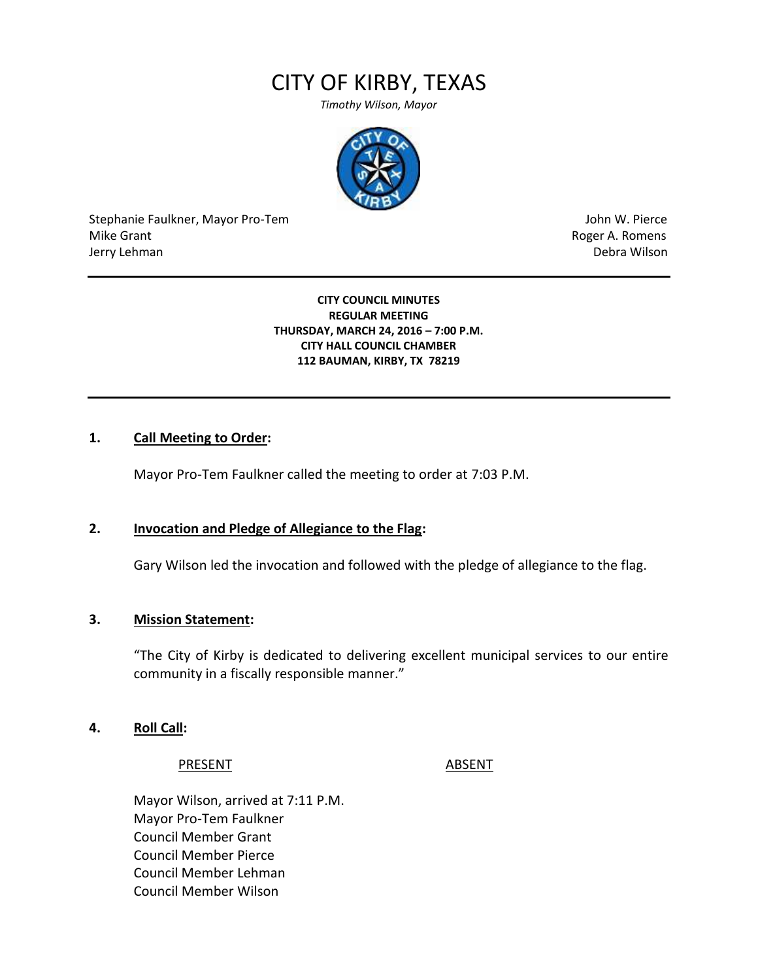# CITY OF KIRBY, TEXAS

*Timothy Wilson, Mayor*



Stephanie Faulkner, Mayor Pro-Tem John W. Pierce Mike Grant **Mike Grant** Roger A. Romens and Roger A. Romens and Roger A. Romens and Roger A. Romens and Roger A. Romens and Roger A. Romens and Roger A. Romens and Roger A. Romens and Roger A. Romens and Roger A. Romens an Jerry Lehman Debra Wilson

#### **CITY COUNCIL MINUTES REGULAR MEETING THURSDAY, MARCH 24, 2016 – 7:00 P.M. CITY HALL COUNCIL CHAMBER 112 BAUMAN, KIRBY, TX 78219**

#### **1. Call Meeting to Order:**

Mayor Pro-Tem Faulkner called the meeting to order at 7:03 P.M.

#### **2. Invocation and Pledge of Allegiance to the Flag:**

Gary Wilson led the invocation and followed with the pledge of allegiance to the flag.

#### **3. Mission Statement:**

"The City of Kirby is dedicated to delivering excellent municipal services to our entire community in a fiscally responsible manner."

**4. Roll Call:**

#### PRESENT ABSENT

Mayor Wilson, arrived at 7:11 P.M. Mayor Pro-Tem Faulkner Council Member Grant Council Member Pierce Council Member Lehman Council Member Wilson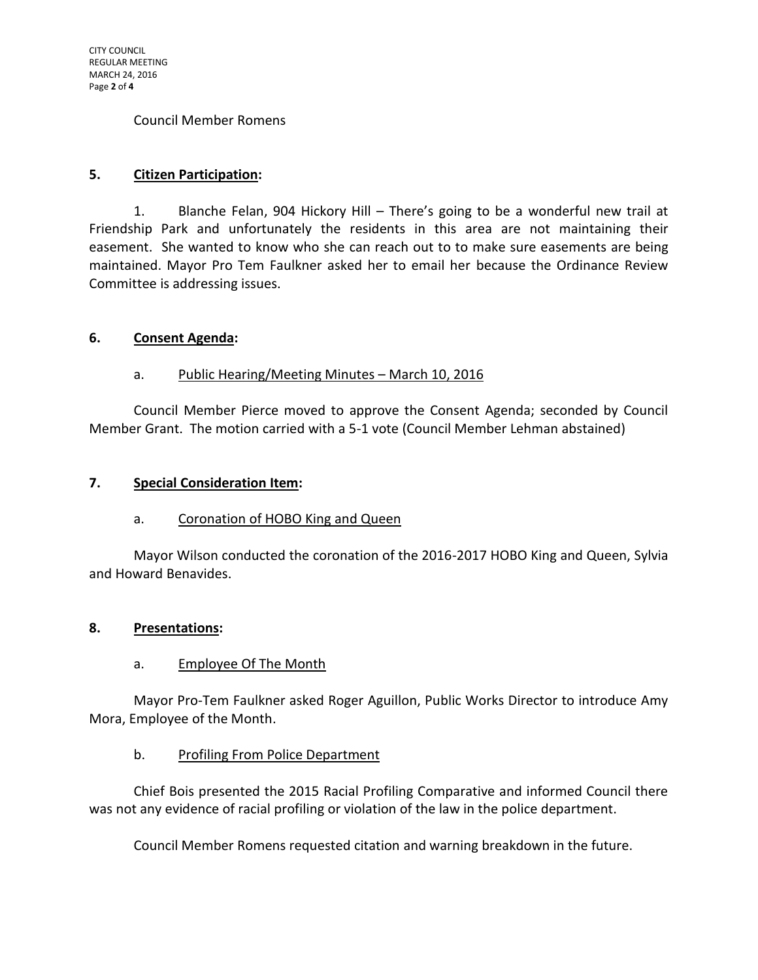#### Council Member Romens

#### **5. Citizen Participation:**

1. Blanche Felan, 904 Hickory Hill – There's going to be a wonderful new trail at Friendship Park and unfortunately the residents in this area are not maintaining their easement. She wanted to know who she can reach out to to make sure easements are being maintained. Mayor Pro Tem Faulkner asked her to email her because the Ordinance Review Committee is addressing issues.

#### **6. Consent Agenda:**

#### a. Public Hearing/Meeting Minutes – March 10, 2016

Council Member Pierce moved to approve the Consent Agenda; seconded by Council Member Grant. The motion carried with a 5-1 vote (Council Member Lehman abstained)

#### **7. Special Consideration Item:**

#### a. Coronation of HOBO King and Queen

Mayor Wilson conducted the coronation of the 2016-2017 HOBO King and Queen, Sylvia and Howard Benavides.

#### **8. Presentations:**

#### a. Employee Of The Month

Mayor Pro-Tem Faulkner asked Roger Aguillon, Public Works Director to introduce Amy Mora, Employee of the Month.

#### b. Profiling From Police Department

Chief Bois presented the 2015 Racial Profiling Comparative and informed Council there was not any evidence of racial profiling or violation of the law in the police department.

Council Member Romens requested citation and warning breakdown in the future.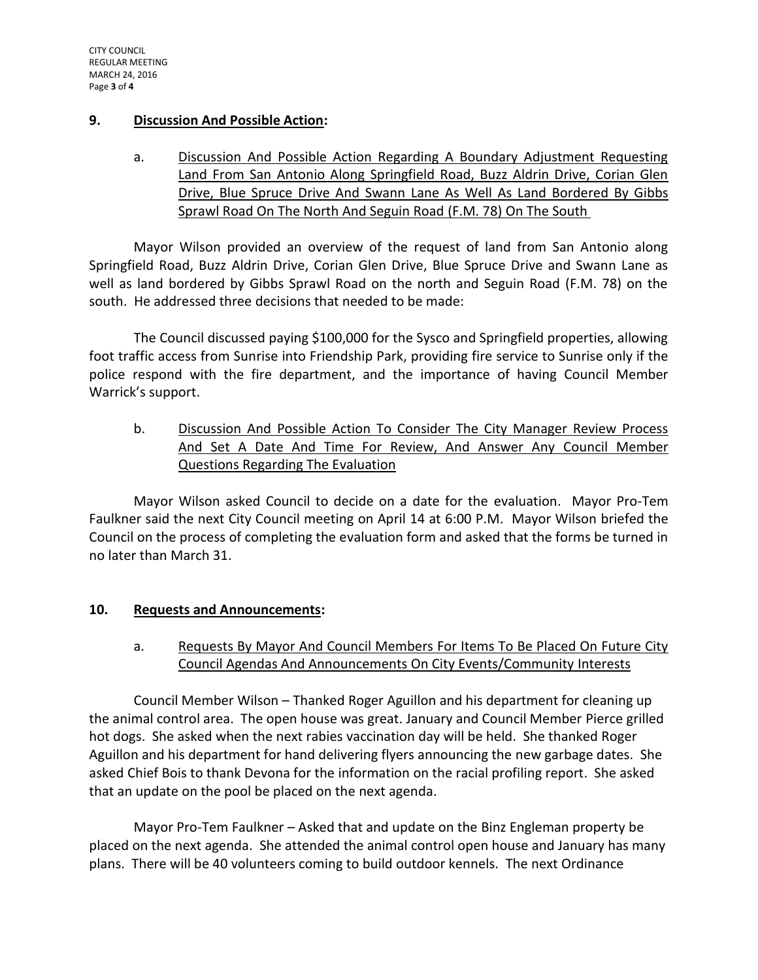### **9. Discussion And Possible Action:**

a. Discussion And Possible Action Regarding A Boundary Adjustment Requesting Land From San Antonio Along Springfield Road, Buzz Aldrin Drive, Corian Glen Drive, Blue Spruce Drive And Swann Lane As Well As Land Bordered By Gibbs Sprawl Road On The North And Seguin Road (F.M. 78) On The South

Mayor Wilson provided an overview of the request of land from San Antonio along Springfield Road, Buzz Aldrin Drive, Corian Glen Drive, Blue Spruce Drive and Swann Lane as well as land bordered by Gibbs Sprawl Road on the north and Seguin Road (F.M. 78) on the south. He addressed three decisions that needed to be made:

The Council discussed paying \$100,000 for the Sysco and Springfield properties, allowing foot traffic access from Sunrise into Friendship Park, providing fire service to Sunrise only if the police respond with the fire department, and the importance of having Council Member Warrick's support.

b. Discussion And Possible Action To Consider The City Manager Review Process And Set A Date And Time For Review, And Answer Any Council Member Questions Regarding The Evaluation

Mayor Wilson asked Council to decide on a date for the evaluation. Mayor Pro-Tem Faulkner said the next City Council meeting on April 14 at 6:00 P.M. Mayor Wilson briefed the Council on the process of completing the evaluation form and asked that the forms be turned in no later than March 31.

# **10. Requests and Announcements:**

# a. Requests By Mayor And Council Members For Items To Be Placed On Future City Council Agendas And Announcements On City Events/Community Interests

Council Member Wilson – Thanked Roger Aguillon and his department for cleaning up the animal control area. The open house was great. January and Council Member Pierce grilled hot dogs. She asked when the next rabies vaccination day will be held. She thanked Roger Aguillon and his department for hand delivering flyers announcing the new garbage dates. She asked Chief Bois to thank Devona for the information on the racial profiling report. She asked that an update on the pool be placed on the next agenda.

Mayor Pro-Tem Faulkner – Asked that and update on the Binz Engleman property be placed on the next agenda. She attended the animal control open house and January has many plans. There will be 40 volunteers coming to build outdoor kennels. The next Ordinance